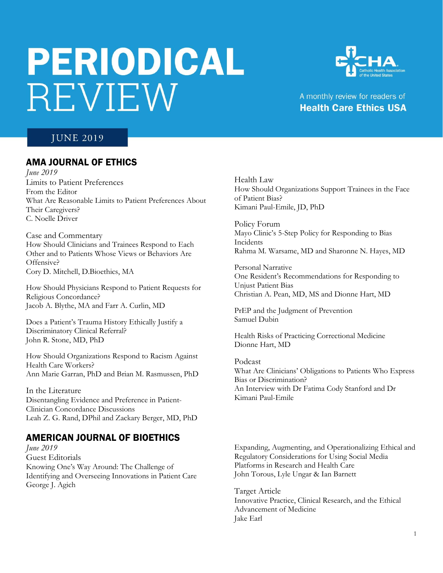# PERIODICAL REVIEW



## A monthly review for readers of **Health Care Ethics USA**

# **JUNE 2019**

## AMA JOURNAL OF ETHICS

*June 2019* Limits to Patient Preferences From the Editor What Are Reasonable Limits to Patient Preferences About Their Caregivers? C. Noelle Driver

Case and Commentary How Should Clinicians and Trainees Respond to Each Other and to Patients Whose Views or Behaviors Are Offensive? Cory D. Mitchell, D.Bioethics, MA

How Should Physicians Respond to Patient Requests for Religious Concordance? Jacob A. Blythe, MA and Farr A. Curlin, MD

Does a Patient's Trauma History Ethically Justify a Discriminatory Clinical Referral? John R. Stone, MD, PhD

How Should Organizations Respond to Racism Against Health Care Workers? Ann Marie Garran, PhD and Brian M. Rasmussen, PhD

In the Literature Disentangling Evidence and Preference in Patient-Clinician Concordance Discussions Leah Z. G. Rand, DPhil and Zackary Berger, MD, PhD

## AMERICAN JOURNAL OF BIOETHICS

*June 2019* Guest Editorials Knowing One's Way Around: The Challenge of Identifying and Overseeing Innovations in Patient Care George J. Agich

Health Law How Should Organizations Support Trainees in the Face of Patient Bias? Kimani Paul-Emile, JD, PhD

Policy Forum Mayo Clinic's 5-Step Policy for Responding to Bias Incidents Rahma M. Warsame, MD and Sharonne N. Hayes, MD

Personal Narrative One Resident's Recommendations for Responding to Unjust Patient Bias Christian A. Pean, MD, MS and Dionne Hart, MD

PrEP and the Judgment of Prevention Samuel Dubin

Health Risks of Practicing Correctional Medicine Dionne Hart, MD

Podcast What Are Clinicians' Obligations to Patients Who Express Bias or Discrimination? An Interview with Dr Fatima Cody Stanford and Dr Kimani Paul-Emile

Expanding, Augmenting, and Operationalizing Ethical and Regulatory Considerations for Using Social Media Platforms in Research and Health Care John Torous, Lyle Ungar & Ian Barnett

Target Article Innovative Practice, Clinical Research, and the Ethical Advancement of Medicine Jake Earl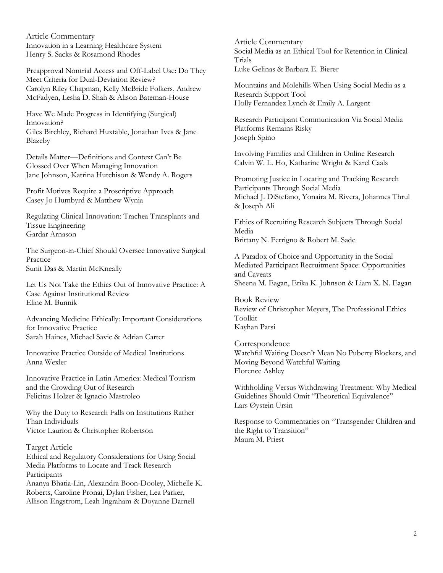Article Commentary Innovation in a Learning Healthcare System Henry S. Sacks & Rosamond Rhodes

Preapproval Nontrial Access and Off-Label Use: Do They Meet Criteria for Dual-Deviation Review? Carolyn Riley Chapman, Kelly McBride Folkers, Andrew McFadyen, Lesha D. Shah & Alison Bateman-House

Have We Made Progress in Identifying (Surgical) Innovation? Giles Birchley, Richard Huxtable, Jonathan Ives & Jane Blazeby

Details Matter—Definitions and Context Can't Be Glossed Over When Managing Innovation Jane Johnson, Katrina Hutchison & Wendy A. Rogers

Profit Motives Require a Proscriptive Approach Casey Jo Humbyrd & Matthew Wynia

Regulating Clinical Innovation: Trachea Transplants and Tissue Engineering Gardar Arnason

The Surgeon-in-Chief Should Oversee Innovative Surgical Practice Sunit Das & Martin McKneally

Let Us Not Take the Ethics Out of Innovative Practice: A Case Against Institutional Review Eline M. Bunnik

Advancing Medicine Ethically: Important Considerations for Innovative Practice Sarah Haines, Michael Savic & Adrian Carter

Innovative Practice Outside of Medical Institutions Anna Wexler

Innovative Practice in Latin America: Medical Tourism and the Crowding Out of Research Felicitas Holzer & Ignacio Mastroleo

Why the Duty to Research Falls on Institutions Rather Than Individuals Victor Laurion & Christopher Robertson

Target Article Ethical and Regulatory Considerations for Using Social Media Platforms to Locate and Track Research Participants Ananya Bhatia-Lin, Alexandra Boon-Dooley, Michelle K. Roberts, Caroline Pronai, Dylan Fisher, Lea Parker, Allison Engstrom, Leah Ingraham & Doyanne Darnell

Article Commentary Social Media as an Ethical Tool for Retention in Clinical Trials Luke Gelinas & Barbara E. Bierer

Mountains and Molehills When Using Social Media as a Research Support Tool Holly Fernandez Lynch & Emily A. Largent

Research Participant Communication Via Social Media Platforms Remains Risky Joseph Spino

Involving Families and Children in Online Research Calvin W. L. Ho, Katharine Wright & Karel Caals

Promoting Justice in Locating and Tracking Research Participants Through Social Media Michael J. DiStefano, Yonaira M. Rivera, Johannes Thrul & Joseph Ali

Ethics of Recruiting Research Subjects Through Social Media Brittany N. Ferrigno & Robert M. Sade

A Paradox of Choice and Opportunity in the Social Mediated Participant Recruitment Space: Opportunities and Caveats Sheena M. Eagan, Erika K. Johnson & Liam X. N. Eagan

Book Review Review of Christopher Meyers, The Professional Ethics Toolkit Kayhan Parsi

Correspondence Watchful Waiting Doesn't Mean No Puberty Blockers, and Moving Beyond Watchful Waiting Florence Ashley

Withholding Versus Withdrawing Treatment: Why Medical Guidelines Should Omit "Theoretical Equivalence" Lars Øystein Ursin

Response to Commentaries on "Transgender Children and the Right to Transition" Maura M. Priest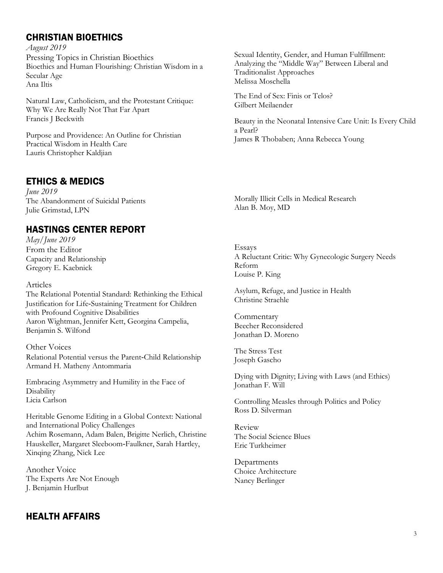# CHRISTIAN BIOETHICS

*August 2019* Pressing Topics in Christian Bioethics Bioethics and Human Flourishing: Christian Wisdom in a Secular Age Ana Iltis

Natural Law, Catholicism, and the Protestant Critique: Why We Are Really Not That Far Apart Francis J Beckwith

Purpose and Providence: An Outline for Christian Practical Wisdom in Health Care Lauris Christopher Kaldjian

# ETHICS & MEDICS

*June 2019* The Abandonment of Suicidal Patients Julie Grimstad, LPN

# HASTINGS CENTER REPORT

*May/June 2019* From the Editor Capacity and Relationship Gregory E. Kaebnick

Articles

The Relational Potential Standard: Rethinking the Ethical Justification for Life‐Sustaining Treatment for Children with Profound Cognitive Disabilities Aaron Wightman, Jennifer Kett, Georgina Campelia, Benjamin S. Wilfond

Other Voices Relational Potential versus the Parent‐Child Relationship Armand H. Matheny Antommaria

Embracing Asymmetry and Humility in the Face of **Disability** Licia Carlson

Heritable Genome Editing in a Global Context: National and International Policy Challenges Achim Rosemann, Adam Balen, Brigitte Nerlich, Christine Hauskeller, Margaret Sleeboom‐Faulkner, Sarah Hartley, Xinqing Zhang, Nick Lee

Another Voice The Experts Are Not Enough J. Benjamin Hurlbut

## HEALTH AFFAIRS

Sexual Identity, Gender, and Human Fulfillment: Analyzing the "Middle Way" Between Liberal and Traditionalist Approaches Melissa Moschella

The End of Sex: Finis or Telos? Gilbert Meilaender

Beauty in the Neonatal Intensive Care Unit: Is Every Child a Pearl? James R Thobaben; Anna Rebecca Young

Morally Illicit Cells in Medical Research Alan B. Moy, MD

Essays A Reluctant Critic: Why Gynecologic Surgery Needs Reform Louise P. King

Asylum, Refuge, and Justice in Health Christine Straehle

Commentary Beecher Reconsidered Jonathan D. Moreno

The Stress Test Joseph Gascho

Dying with Dignity; Living with Laws (and Ethics) Jonathan F. Will

Controlling Measles through Politics and Policy Ross D. Silverman

Review The Social Science Blues Eric Turkheimer

Departments Choice Architecture Nancy Berlinger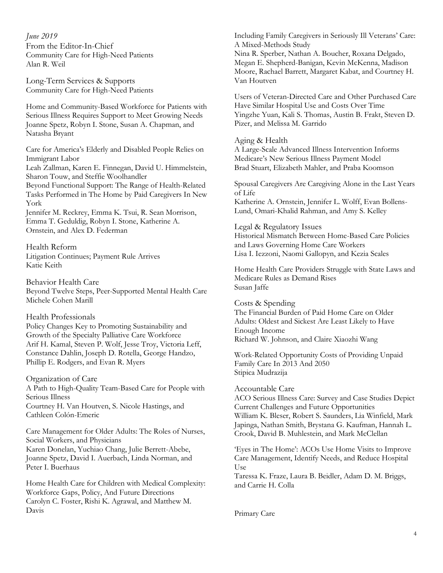*June 2019* From the Editor-In-Chief Community Care for High-Need Patients Alan R. Weil

Long-Term Services & Supports Community Care for High-Need Patients

Home and Community-Based Workforce for Patients with Serious Illness Requires Support to Meet Growing Needs Joanne Spetz, Robyn I. Stone, Susan A. Chapman, and Natasha Bryant

Care for America's Elderly and Disabled People Relies on Immigrant Labor

Leah Zallman, Karen E. Finnegan, David U. Himmelstein, Sharon Touw, and Steffie Woolhandler

Beyond Functional Support: The Range of Health-Related Tasks Performed in The Home by Paid Caregivers In New York

Jennifer M. Reckrey, Emma K. Tsui, R. Sean Morrison, Emma T. Geduldig, Robyn I. Stone, Katherine A. Ornstein, and Alex D. Federman

Health Reform Litigation Continues; Payment Rule Arrives Katie Keith

Behavior Health Care Beyond Twelve Steps, Peer-Supported Mental Health Care Michele Cohen Marill

Health Professionals

Policy Changes Key to Promoting Sustainability and Growth of the Specialty Palliative Care Workforce Arif H. Kamal, Steven P. Wolf, Jesse Troy, Victoria Leff, Constance Dahlin, Joseph D. Rotella, George Handzo, Phillip E. Rodgers, and Evan R. Myers

Organization of Care A Path to High-Quality Team-Based Care for People with Serious Illness Courtney H. Van Houtven, S. Nicole Hastings, and Cathleen Colón-Emeric

Care Management for Older Adults: The Roles of Nurses, Social Workers, and Physicians Karen Donelan, Yuchiao Chang, Julie Berrett-Abebe, Joanne Spetz, David I. Auerbach, Linda Norman, and Peter I. Buerhaus

Home Health Care for Children with Medical Complexity: Workforce Gaps, Policy, And Future Directions Carolyn C. Foster, Rishi K. Agrawal, and Matthew M. Davis

Including Family Caregivers in Seriously Ill Veterans' Care: A Mixed-Methods Study Nina R. Sperber, Nathan A. Boucher, Roxana Delgado, Megan E. Shepherd-Banigan, Kevin McKenna, Madison Moore, Rachael Barrett, Margaret Kabat, and Courtney H. Van Houtven

Users of Veteran-Directed Care and Other Purchased Care Have Similar Hospital Use and Costs Over Time Yingzhe Yuan, Kali S. Thomas, Austin B. Frakt, Steven D. Pizer, and Melissa M. Garrido

#### Aging & Health

A Large-Scale Advanced Illness Intervention Informs Medicare's New Serious Illness Payment Model Brad Stuart, Elizabeth Mahler, and Praba Koomson

Spousal Caregivers Are Caregiving Alone in the Last Years of Life Katherine A. Ornstein, Jennifer L. Wolff, Evan Bollens-Lund, Omari-Khalid Rahman, and Amy S. Kelley

#### Legal & Regulatory Issues

Historical Mismatch Between Home-Based Care Policies and Laws Governing Home Care Workers Lisa I. Iezzoni, Naomi Gallopyn, and Kezia Scales

Home Health Care Providers Struggle with State Laws and Medicare Rules as Demand Rises Susan Jaffe

Costs & Spending

The Financial Burden of Paid Home Care on Older Adults: Oldest and Sickest Are Least Likely to Have Enough Income Richard W. Johnson, and Claire Xiaozhi Wang

Work-Related Opportunity Costs of Providing Unpaid Family Care In 2013 And 2050 Stipica Mudrazija

#### Accountable Care

ACO Serious Illness Care: Survey and Case Studies Depict Current Challenges and Future Opportunities William K. Bleser, Robert S. Saunders, Lia Winfield, Mark Japinga, Nathan Smith, Brystana G. Kaufman, Hannah L. Crook, David B. Muhlestein, and Mark McClellan

'Eyes in The Home': ACOs Use Home Visits to Improve Care Management, Identify Needs, and Reduce Hospital Use

Taressa K. Fraze, Laura B. Beidler, Adam D. M. Briggs, and Carrie H. Colla

Primary Care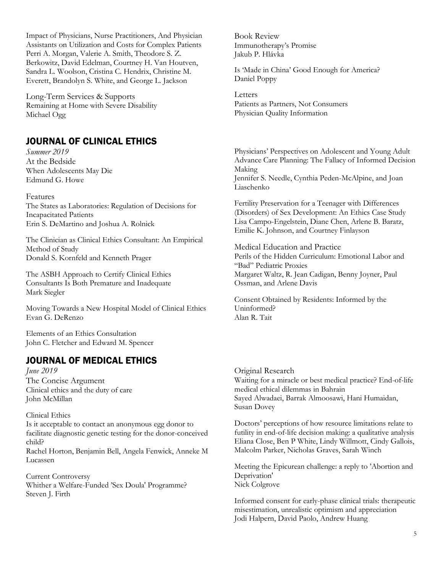Impact of Physicians, Nurse Practitioners, And Physician Assistants on Utilization and Costs for Complex Patients Perri A. Morgan, Valerie A. Smith, Theodore S. Z. Berkowitz, David Edelman, Courtney H. Van Houtven, Sandra L. Woolson, Cristina C. Hendrix, Christine M. Everett, Brandolyn S. White, and George L. Jackson

Long-Term Services & Supports Remaining at Home with Severe Disability Michael Ogg

## JOURNAL OF CLINICAL ETHICS

*Summer 2019* At the Bedside When Adolescents May Die Edmund G. Howe

#### Features

The States as Laboratories: Regulation of Decisions for Incapacitated Patients Erin S. DeMartino and Joshua A. Rolnick

The Clinician as Clinical Ethics Consultant: An Empirical Method of Study Donald S. Kornfeld and Kenneth Prager

The ASBH Approach to Certify Clinical Ethics Consultants Is Both Premature and Inadequate Mark Siegler

Moving Towards a New Hospital Model of Clinical Ethics Evan G. DeRenzo

Elements of an Ethics Consultation John C. Fletcher and Edward M. Spencer

### JOURNAL OF MEDICAL ETHICS

*June 2019* The Concise Argument Clinical ethics and the duty of care John McMillan

#### Clinical Ethics

Is it acceptable to contact an anonymous egg donor to facilitate diagnostic genetic testing for the donor-conceived child?

Rachel Horton, Benjamin Bell, Angela Fenwick, Anneke M Lucassen

Current Controversy Whither a Welfare-Funded 'Sex Doula' Programme? Steven J. Firth

Book Review Immunotherapy's Promise Jakub P. Hlávka

Is 'Made in China' Good Enough for America? Daniel Poppy

**Letters** Patients as Partners, Not Consumers Physician Quality Information

Physicians' Perspectives on Adolescent and Young Adult Advance Care Planning: The Fallacy of Informed Decision Making Jennifer S. Needle, Cynthia Peden-McAlpine, and Joan Liaschenko

Fertility Preservation for a Teenager with Differences (Disorders) of Sex Development: An Ethics Case Study Lisa Campo-Engelstein, Diane Chen, Arlene B. Baratz, Emilie K. Johnson, and Courtney Finlayson

Medical Education and Practice Perils of the Hidden Curriculum: Emotional Labor and "Bad" Pediatric Proxies Margaret Waltz, R. Jean Cadigan, Benny Joyner, Paul Ossman, and Arlene Davis

Consent Obtained by Residents: Informed by the Uninformed? Alan R. Tait

Original Research Waiting for a miracle or best medical practice? End-of-life medical ethical dilemmas in Bahrain Sayed Alwadaei, Barrak Almoosawi, Hani Humaidan, Susan Dovey

Doctors' perceptions of how resource limitations relate to futility in end-of-life decision making: a qualitative analysis Eliana Close, Ben P White, Lindy Willmott, Cindy Gallois, Malcolm Parker, Nicholas Graves, Sarah Winch

Meeting the Epicurean challenge: a reply to 'Abortion and Deprivation' Nick Colgrove

Informed consent for early-phase clinical trials: therapeutic misestimation, unrealistic optimism and appreciation Jodi Halpern, David Paolo, Andrew Huang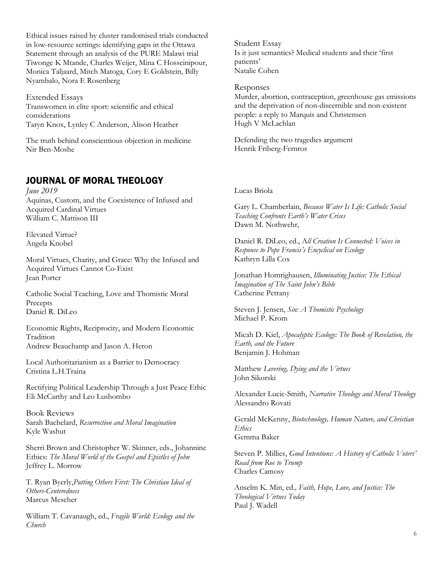Ethical issues raised by cluster randomised trials conducted in low-resource settings: identifying gaps in the Ottawa Statement through an analysis of the PURE Malawi trial Tiwonge K Mtande, Charles Weijer, Mina C Hosseinipour, Monica Taljaard, Mitch Matoga, Cory E Goldstein, Billy Nyambalo, Nora E Rosenberg

Extended Essays Transwomen in elite sport: scientific and ethical considerations Taryn Knox, Lynley C Anderson, Alison Heather

The truth behind conscientious objection in medicine Nir Ben-Moshe

## JOURNAL OF MORAL THEOLOGY

*June 2019* Aquinas, Custom, and the Coexistence of Infused and Acquired Cardinal Virtues William C. Mattison III

Elevated Virtue? Angela Knobel

Moral Virtues, Charity, and Grace: Why the Infused and Acquired Virtues Cannot Co-Exist Jean Porter

Catholic Social Teaching, Love and Thomistic Moral Precepts Daniel R. DiLeo

Economic Rights, Reciprocity, and Modern Economic Tradition Andrew Beauchamp and Jason A. Heron

Local Authoritarianism as a Barrier to Democracy Cristina L.H.Traina

Rectifying Political Leadership Through a Just Peace Ethic Eli McCarthy and Leo Lushombo

Book Reviews Sarah Bachelard, *Resurrection and Moral Imagination* Kyle Washut

Sherri Brown and Christopher W. Skinner, eds., Johannine Ethics: *The Moral World of the Gospel and Epistles of John* Jeffrey L. Morrow

T. Ryan Byerly,*Putting Others First: The Christian Ideal of Others-Centeredness* Marcus Mescher

William T. Cavanaugh, ed., *Fragile World: Ecology and the Church*

Student Essay Is it just semantics? Medical students and their 'first patients' Natalie Cohen

Responses Murder, abortion, contraception, greenhouse gas emissions and the deprivation of non-discernible and non-existent people: a reply to Marquis and Christensen Hugh V McLachlan

Defending the two tragedies argument Henrik Friberg-Fernros

#### Lucas Briola

Gary L. Chamberlain, *Because Water Is Life: Catholic Social Teaching Confronts Earth's Water Crises* Dawn M. Nothwehr,

Daniel R. DiLeo, ed., A*ll Creation Is Connected: Voices in Response to Pope Francis's Encyclical on Ecology* Kathryn Lilla Cox

Jonathan Homrighausen, *Illuminating Justice: The Ethical Imagination of The Saint John's Bible* Catherine Petrany

Steven J. Jensen, *Sin: A Thomistic Psychology* Michael P. Krom

Micah D. Kiel, *Apocalyptic Ecology: The Book of Revelation, the Earth, and the Future* Benjamin J. Hohman

Matthew *Levering, Dying and the Virtues* John Sikorski

Alexander Lucie-Smith, *Narrative Theology and Moral Theology* Alessandro Rovati

Gerald McKenny, *Biotechnology, Human Nature, and Christian Ethics* Gemma Baker

Steven P. Millies, *Good Intentions: A History of Catholic Voters' Road from Roe to Trump* Charles Camosy

Anselm K. Min, ed*., Faith, Hope, Love, and Justice: The Theological Virtues Today* Paul J. Wadell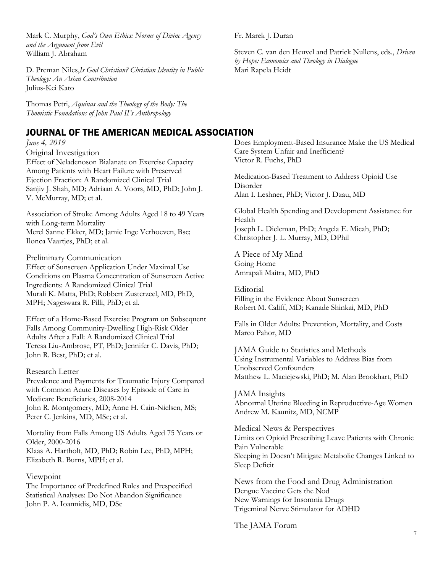Mark C. Murphy, *God's Own Ethics: Norms of Divine Agency and the Argument from Evil* William J. Abraham

D. Preman Niles,*Is God Christian? Christian Identity in Public Theology: An Asian Contribution* Julius-Kei Kato

Thomas Petri, *Aquinas and the Theology of the Body: The Thomistic Foundations of John Paul II's Anthropology*

## JOURNAL OF THE AMERICAN MEDICAL ASSOCIATION

*June 4, 2019*

Original Investigation Effect of Neladenoson Bialanate on Exercise Capacity Among Patients with Heart Failure with Preserved Ejection Fraction: A Randomized Clinical Trial Sanjiv J. Shah, MD; Adriaan A. Voors, MD, PhD; John J. V. McMurray, MD; et al.

Association of Stroke Among Adults Aged 18 to 49 Years with Long-term Mortality Merel Sanne Ekker, MD; Jamie Inge Verhoeven, Bsc; Ilonca Vaartjes, PhD; et al.

Preliminary Communication Effect of Sunscreen Application Under Maximal Use Conditions on Plasma Concentration of Sunscreen Active Ingredients: A Randomized Clinical Trial Murali K. Matta, PhD; Robbert Zusterzeel, MD, PhD, MPH; Nageswara R. Pilli, PhD; et al.

Effect of a Home-Based Exercise Program on Subsequent Falls Among Community-Dwelling High-Risk Older Adults After a Fall: A Randomized Clinical Trial Teresa Liu-Ambrose, PT, PhD; Jennifer C. Davis, PhD; John R. Best, PhD; et al.

Research Letter Prevalence and Payments for Traumatic Injury Compared with Common Acute Diseases by Episode of Care in

Medicare Beneficiaries, 2008-2014 John R. Montgomery, MD; Anne H. Cain-Nielsen, MS; Peter C. Jenkins, MD, MSc; et al.

Mortality from Falls Among US Adults Aged 75 Years or Older, 2000-2016 Klaas A. Hartholt, MD, PhD; Robin Lee, PhD, MPH; Elizabeth R. Burns, MPH; et al.

Viewpoint

The Importance of Predefined Rules and Prespecified Statistical Analyses: Do Not Abandon Significance John P. A. Ioannidis, MD, DSc

Fr. Marek J. Duran

Steven C. van den Heuvel and Patrick Nullens, eds., *Driven by Hope: Economics and Theology in Dialogue* Mari Rapela Heidt

Does Employment-Based Insurance Make the US Medical Care System Unfair and Inefficient? Victor R. Fuchs, PhD

Medication-Based Treatment to Address Opioid Use Disorder Alan I. Leshner, PhD; Victor J. Dzau, MD

Global Health Spending and Development Assistance for Health Joseph L. Dieleman, PhD; Angela E. Micah, PhD; Christopher J. L. Murray, MD, DPhil

A Piece of My Mind Going Home Amrapali Maitra, MD, PhD

Editorial Filling in the Evidence About Sunscreen Robert M. Califf, MD; Kanade Shinkai, MD, PhD

Falls in Older Adults: Prevention, Mortality, and Costs Marco Pahor, MD

JAMA Guide to Statistics and Methods Using Instrumental Variables to Address Bias from Unobserved Confounders Matthew L. Maciejewski, PhD; M. Alan Brookhart, PhD

JAMA Insights Abnormal Uterine Bleeding in Reproductive-Age Women Andrew M. Kaunitz, MD, NCMP

Medical News & Perspectives Limits on Opioid Prescribing Leave Patients with Chronic Pain Vulnerable Sleeping in Doesn't Mitigate Metabolic Changes Linked to Sleep Deficit

News from the Food and Drug Administration Dengue Vaccine Gets the Nod New Warnings for Insomnia Drugs Trigeminal Nerve Stimulator for ADHD

The JAMA Forum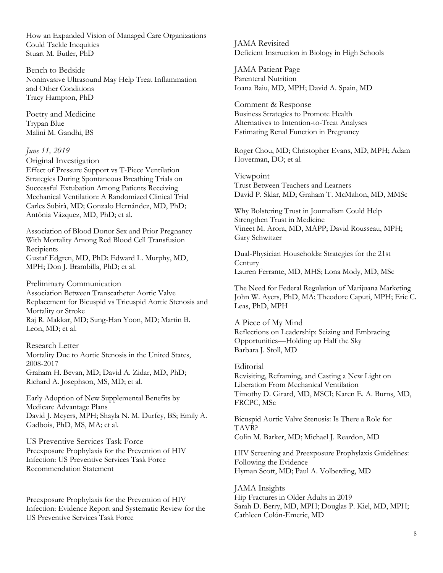How an Expanded Vision of Managed Care Organizations Could Tackle Inequities Stuart M. Butler, PhD

Bench to Bedside Noninvasive Ultrasound May Help Treat Inflammation and Other Conditions Tracy Hampton, PhD

Poetry and Medicine Trypan Blue Malini M. Gandhi, BS

#### *June 11, 2019*

Original Investigation

Effect of Pressure Support vs T-Piece Ventilation Strategies During Spontaneous Breathing Trials on Successful Extubation Among Patients Receiving Mechanical Ventilation: A Randomized Clinical Trial Carles Subirà, MD; Gonzalo Hernández, MD, PhD; Antònia Vázquez, MD, PhD; et al.

Association of Blood Donor Sex and Prior Pregnancy With Mortality Among Red Blood Cell Transfusion **Recipients** Gustaf Edgren, MD, PhD; Edward L. Murphy, MD, MPH; Don J. Brambilla, PhD; et al.

Preliminary Communication Association Between Transcatheter Aortic Valve Replacement for Bicuspid vs Tricuspid Aortic Stenosis and Mortality or Stroke

Raj R. Makkar, MD; Sung-Han Yoon, MD; Martin B. Leon, MD; et al.

#### Research Letter

Mortality Due to Aortic Stenosis in the United States, 2008-2017 Graham H. Bevan, MD; David A. Zidar, MD, PhD; Richard A. Josephson, MS, MD; et al.

Early Adoption of New Supplemental Benefits by Medicare Advantage Plans David J. Meyers, MPH; Shayla N. M. Durfey, BS; Emily A. Gadbois, PhD, MS, MA; et al.

US Preventive Services Task Force Preexposure Prophylaxis for the Prevention of HIV Infection: US Preventive Services Task Force Recommendation Statement

Preexposure Prophylaxis for the Prevention of HIV Infection: Evidence Report and Systematic Review for the US Preventive Services Task Force

JAMA Revisited Deficient Instruction in Biology in High Schools

JAMA Patient Page Parenteral Nutrition Ioana Baiu, MD, MPH; David A. Spain, MD

Comment & Response Business Strategies to Promote Health Alternatives to Intention-to-Treat Analyses Estimating Renal Function in Pregnancy

Roger Chou, MD; Christopher Evans, MD, MPH; Adam Hoverman, DO; et al.

Viewpoint Trust Between Teachers and Learners David P. Sklar, MD; Graham T. McMahon, MD, MMSc

Why Bolstering Trust in Journalism Could Help Strengthen Trust in Medicine Vineet M. Arora, MD, MAPP; David Rousseau, MPH; Gary Schwitzer

Dual-Physician Households: Strategies for the 21st **Century** Lauren Ferrante, MD, MHS; Lona Mody, MD, MSc

The Need for Federal Regulation of Marijuana Marketing John W. Ayers, PhD, MA; Theodore Caputi, MPH; Eric C. Leas, PhD, MPH

A Piece of My Mind Reflections on Leadership: Seizing and Embracing Opportunities—Holding up Half the Sky Barbara J. Stoll, MD

Editorial Revisiting, Reframing, and Casting a New Light on Liberation From Mechanical Ventilation Timothy D. Girard, MD, MSCI; Karen E. A. Burns, MD, FRCPC, MSc

Bicuspid Aortic Valve Stenosis: Is There a Role for TAVR? Colin M. Barker, MD; Michael J. Reardon, MD

HIV Screening and Preexposure Prophylaxis Guidelines: Following the Evidence Hyman Scott, MD; Paul A. Volberding, MD

JAMA Insights Hip Fractures in Older Adults in 2019 Sarah D. Berry, MD, MPH; Douglas P. Kiel, MD, MPH; Cathleen Colón-Emeric, MD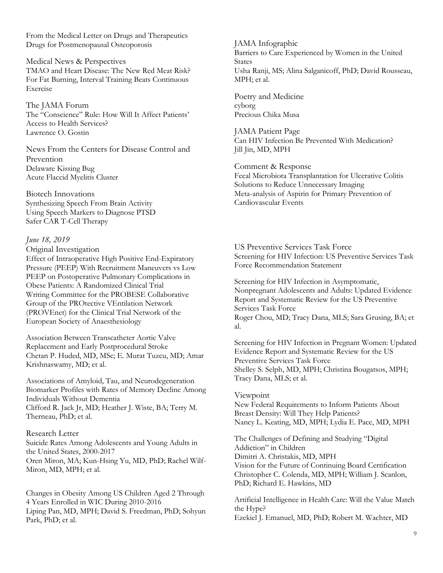From the Medical Letter on Drugs and Therapeutics Drugs for Postmenopausal Osteoporosis

Medical News & Perspectives TMAO and Heart Disease: The New Red Meat Risk? For Fat Burning, Interval Training Beats Continuous Exercise

The JAMA Forum The "Conscience" Rule: How Will It Affect Patients' Access to Health Services? Lawrence O. Gostin

News From the Centers for Disease Control and Prevention Delaware Kissing Bug Acute Flaccid Myelitis Cluster

Biotech Innovations Synthesizing Speech From Brain Activity Using Speech Markers to Diagnose PTSD Safer CAR T-Cell Therapy

#### *June 18, 2019*

Original Investigation Effect of Intraoperative High Positive End-Expiratory Pressure (PEEP) With Recruitment Maneuvers vs Low PEEP on Postoperative Pulmonary Complications in Obese Patients: A Randomized Clinical Trial Writing Committee for the PROBESE Collaborative Group of the PROtective VEntilation Network (PROVEnet) for the Clinical Trial Network of the European Society of Anaesthesiology

Association Between Transcatheter Aortic Valve Replacement and Early Postprocedural Stroke Chetan P. Huded, MD, MSc; E. Murat Tuzcu, MD; Amar Krishnaswamy, MD; et al.

Associations of Amyloid, Tau, and Neurodegeneration Biomarker Profiles with Rates of Memory Decline Among Individuals Without Dementia Clifford R. Jack Jr, MD; Heather J. Wiste, BA; Terry M. Therneau, PhD; et al.

#### Research Letter

Suicide Rates Among Adolescents and Young Adults in the United States, 2000-2017 Oren Miron, MA; Kun-Hsing Yu, MD, PhD; Rachel Wilf-Miron, MD, MPH; et al.

Changes in Obesity Among US Children Aged 2 Through 4 Years Enrolled in WIC During 2010-2016 Liping Pan, MD, MPH; David S. Freedman, PhD; Sohyun Park, PhD; et al.

JAMA Infographic Barriers to Care Experienced by Women in the United **States** Usha Ranji, MS; Alina Salganicoff, PhD; David Rousseau, MPH; et al.

Poetry and Medicine cyborg Precious Chika Musa

JAMA Patient Page Can HIV Infection Be Prevented With Medication? Jill Jin, MD, MPH

Comment & Response Fecal Microbiota Transplantation for Ulcerative Colitis Solutions to Reduce Unnecessary Imaging Meta-analysis of Aspirin for Primary Prevention of Cardiovascular Events

US Preventive Services Task Force Screening for HIV Infection: US Preventive Services Task Force Recommendation Statement

Screening for HIV Infection in Asymptomatic, Nonpregnant Adolescents and Adults: Updated Evidence Report and Systematic Review for the US Preventive Services Task Force Roger Chou, MD; Tracy Dana, MLS; Sara Grusing, BA; et al.

Screening for HIV Infection in Pregnant Women: Updated Evidence Report and Systematic Review for the US Preventive Services Task Force Shelley S. Selph, MD, MPH; Christina Bougatsos, MPH; Tracy Dana, MLS; et al.

#### Viewpoint

New Federal Requirements to Inform Patients About Breast Density: Will They Help Patients? Nancy L. Keating, MD, MPH; Lydia E. Pace, MD, MPH

The Challenges of Defining and Studying "Digital Addiction" in Children Dimitri A. Christakis, MD, MPH Vision for the Future of Continuing Board Certification Christopher C. Colenda, MD, MPH; William J. Scanlon, PhD; Richard E. Hawkins, MD

Artificial Intelligence in Health Care: Will the Value Match the Hype? Ezekiel J. Emanuel, MD, PhD; Robert M. Wachter, MD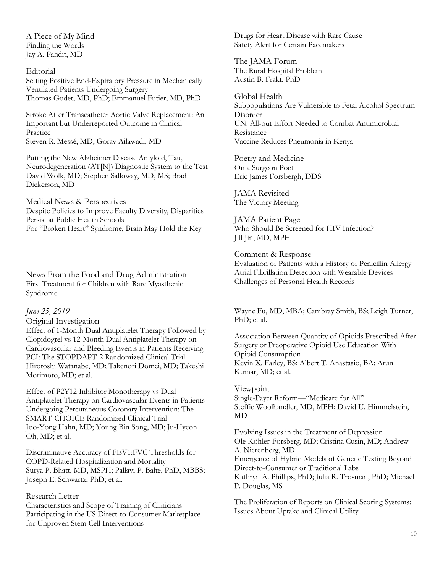A Piece of My Mind Finding the Words Jay A. Pandit, MD

#### Editorial

Setting Positive End-Expiratory Pressure in Mechanically Ventilated Patients Undergoing Surgery Thomas Godet, MD, PhD; Emmanuel Futier, MD, PhD

Stroke After Transcatheter Aortic Valve Replacement: An Important but Underreported Outcome in Clinical Practice Steven R. Messé, MD; Gorav Ailawadi, MD

Putting the New Alzheimer Disease Amyloid, Tau, Neurodegeneration (AT[N]) Diagnostic System to the Test David Wolk, MD; Stephen Salloway, MD, MS; Brad Dickerson, MD

Medical News & Perspectives Despite Policies to Improve Faculty Diversity, Disparities Persist at Public Health Schools For "Broken Heart" Syndrome, Brain May Hold the Key

News From the Food and Drug Administration First Treatment for Children with Rare Myasthenic Syndrome

#### *June 25, 2019*

#### Original Investigation

Effect of 1-Month Dual Antiplatelet Therapy Followed by Clopidogrel vs 12-Month Dual Antiplatelet Therapy on Cardiovascular and Bleeding Events in Patients Receiving PCI: The STOPDAPT-2 Randomized Clinical Trial Hirotoshi Watanabe, MD; Takenori Domei, MD; Takeshi Morimoto, MD; et al.

Effect of P2Y12 Inhibitor Monotherapy vs Dual Antiplatelet Therapy on Cardiovascular Events in Patients Undergoing Percutaneous Coronary Intervention: The SMART-CHOICE Randomized Clinical Trial Joo-Yong Hahn, MD; Young Bin Song, MD; Ju-Hyeon Oh, MD; et al.

Discriminative Accuracy of FEV1:FVC Thresholds for COPD-Related Hospitalization and Mortality Surya P. Bhatt, MD, MSPH; Pallavi P. Balte, PhD, MBBS; Joseph E. Schwartz, PhD; et al.

#### Research Letter

Characteristics and Scope of Training of Clinicians Participating in the US Direct-to-Consumer Marketplace for Unproven Stem Cell Interventions

Drugs for Heart Disease with Rare Cause Safety Alert for Certain Pacemakers

The JAMA Forum The Rural Hospital Problem Austin B. Frakt, PhD

Global Health Subpopulations Are Vulnerable to Fetal Alcohol Spectrum Disorder UN: All-out Effort Needed to Combat Antimicrobial Resistance Vaccine Reduces Pneumonia in Kenya

Poetry and Medicine On a Surgeon Poet Eric James Forsbergh, DDS

JAMA Revisited The Victory Meeting

JAMA Patient Page Who Should Be Screened for HIV Infection? Jill Jin, MD, MPH

Comment & Response Evaluation of Patients with a History of Penicillin Allergy Atrial Fibrillation Detection with Wearable Devices Challenges of Personal Health Records

Wayne Fu, MD, MBA; Cambray Smith, BS; Leigh Turner, PhD; et al.

Association Between Quantity of Opioids Prescribed After Surgery or Preoperative Opioid Use Education With Opioid Consumption Kevin X. Farley, BS; Albert T. Anastasio, BA; Arun Kumar, MD; et al.

Viewpoint Single-Payer Reform—"Medicare for All" Steffie Woolhandler, MD, MPH; David U. Himmelstein, MD

Evolving Issues in the Treatment of Depression Ole Köhler-Forsberg, MD; Cristina Cusin, MD; Andrew A. Nierenberg, MD Emergence of Hybrid Models of Genetic Testing Beyond Direct-to-Consumer or Traditional Labs Kathryn A. Phillips, PhD; Julia R. Trosman, PhD; Michael P. Douglas, MS

The Proliferation of Reports on Clinical Scoring Systems: Issues About Uptake and Clinical Utility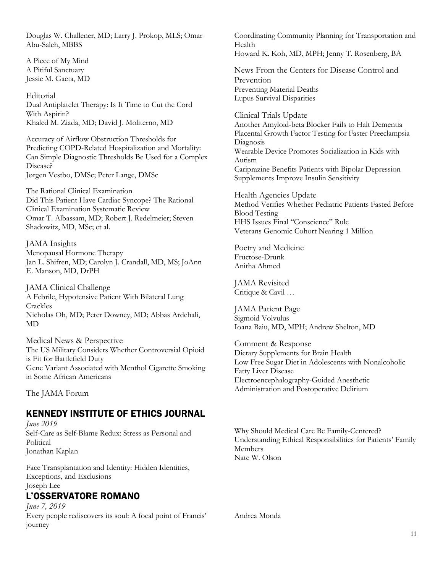Douglas W. Challener, MD; Larry J. Prokop, MLS; Omar Abu-Saleh, MBBS

A Piece of My Mind A Pitiful Sanctuary Jessie M. Gaeta, MD

Editorial Dual Antiplatelet Therapy: Is It Time to Cut the Cord With Aspirin? Khaled M. Ziada, MD; David J. Moliterno, MD

Accuracy of Airflow Obstruction Thresholds for Predicting COPD-Related Hospitalization and Mortality: Can Simple Diagnostic Thresholds Be Used for a Complex Disease? Jørgen Vestbo, DMSc; Peter Lange, DMSc

The Rational Clinical Examination Did This Patient Have Cardiac Syncope? The Rational Clinical Examination Systematic Review Omar T. Albassam, MD; Robert J. Redelmeier; Steven Shadowitz, MD, MSc; et al.

JAMA Insights Menopausal Hormone Therapy Jan L. Shifren, MD; Carolyn J. Crandall, MD, MS; JoAnn E. Manson, MD, DrPH

JAMA Clinical Challenge A Febrile, Hypotensive Patient With Bilateral Lung Crackles Nicholas Oh, MD; Peter Downey, MD; Abbas Ardehali, MD

Medical News & Perspective The US Military Considers Whether Controversial Opioid is Fit for Battlefield Duty Gene Variant Associated with Menthol Cigarette Smoking in Some African Americans

The JAMA Forum

## KENNEDY INSTITUTE OF ETHICS JOURNAL

*June 2019* Self-Care as Self-Blame Redux: Stress as Personal and Political Jonathan Kaplan

Face Transplantation and Identity: Hidden Identities, Exceptions, and Exclusions Joseph Lee

## L'OSSERVATORE ROMANO

*June 7, 2019* Every people rediscovers its soul: A focal point of Francis' journey

Coordinating Community Planning for Transportation and Health Howard K. Koh, MD, MPH; Jenny T. Rosenberg, BA

News From the Centers for Disease Control and Prevention Preventing Material Deaths Lupus Survival Disparities

Clinical Trials Update Another Amyloid-beta Blocker Fails to Halt Dementia Placental Growth Factor Testing for Faster Preeclampsia Diagnosis Wearable Device Promotes Socialization in Kids with Autism Cariprazine Benefits Patients with Bipolar Depression Supplements Improve Insulin Sensitivity

Health Agencies Update Method Verifies Whether Pediatric Patients Fasted Before Blood Testing HHS Issues Final "Conscience" Rule Veterans Genomic Cohort Nearing 1 Million

Poetry and Medicine Fructose-Drunk Anitha Ahmed

JAMA Revisited Critique & Cavil …

JAMA Patient Page Sigmoid Volvulus Ioana Baiu, MD, MPH; Andrew Shelton, MD

Comment & Response Dietary Supplements for Brain Health Low Free Sugar Diet in Adolescents with Nonalcoholic Fatty Liver Disease Electroencephalography-Guided Anesthetic Administration and Postoperative Delirium

Why Should Medical Care Be Family-Centered? Understanding Ethical Responsibilities for Patients' Family Members Nate W. Olson

Andrea Monda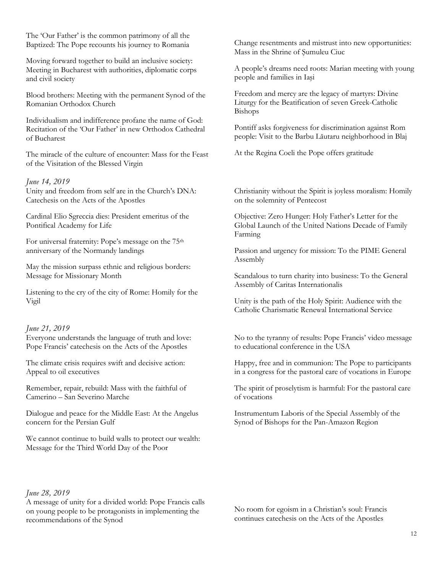The 'Our Father' is the common patrimony of all the Baptized: The Pope recounts his journey to Romania

Moving forward together to build an inclusive society: Meeting in Bucharest with authorities, diplomatic corps and civil society

Blood brothers: Meeting with the permanent Synod of the Romanian Orthodox Church

Individualism and indifference profane the name of God: Recitation of the 'Our Father' in new Orthodox Cathedral of Bucharest

The miracle of the culture of encounter: Mass for the Feast of the Visitation of the Blessed Virgin

#### *June 14, 2019*

Unity and freedom from self are in the Church's DNA: Catechesis on the Acts of the Apostles

Cardinal Elio Sgreccia dies: President emeritus of the Pontifical Academy for Life

For universal fraternity: Pope's message on the 75th anniversary of the Normandy landings

May the mission surpass ethnic and religious borders: Message for Missionary Month

Listening to the cry of the city of Rome: Homily for the Vigil

#### *June 21, 2019*

Everyone understands the language of truth and love: Pope Francis' catechesis on the Acts of the Apostles

The climate crisis requires swift and decisive action: Appeal to oil executives

Remember, repair, rebuild: Mass with the faithful of Camerino – San Severino Marche

Dialogue and peace for the Middle East: At the Angelus concern for the Persian Gulf

We cannot continue to build walls to protect our wealth: Message for the Third World Day of the Poor

#### *June 28, 2019*

A message of unity for a divided world: Pope Francis calls on young people to be protagonists in implementing the recommendations of the Synod

Change resentments and mistrust into new opportunities: Mass in the Shrine of Şumuleu Ciuc

A people's dreams need roots: Marian meeting with young people and families in Iaşi

Freedom and mercy are the legacy of martyrs: Divine Liturgy for the Beatification of seven Greek-Catholic Bishops

Pontiff asks forgiveness for discrimination against Rom people: Visit to the Barbu Lăutaru neighborhood in Blaj

At the Regina Coeli the Pope offers gratitude

Christianity without the Spirit is joyless moralism: Homily on the solemnity of Pentecost

Objective: Zero Hunger: Holy Father's Letter for the Global Launch of the United Nations Decade of Family Farming

Passion and urgency for mission: To the PIME General Assembly

Scandalous to turn charity into business: To the General Assembly of Caritas Internationalis

Unity is the path of the Holy Spirit: Audience with the Catholic Charismatic Renewal International Service

No to the tyranny of results: Pope Francis' video message to educational conference in the USA

Happy, free and in communion: The Pope to participants in a congress for the pastoral care of vocations in Europe

The spirit of proselytism is harmful: For the pastoral care of vocations

Instrumentum Laboris of the Special Assembly of the Synod of Bishops for the Pan-Amazon Region

No room for egoism in a Christian's soul: Francis continues catechesis on the Acts of the Apostles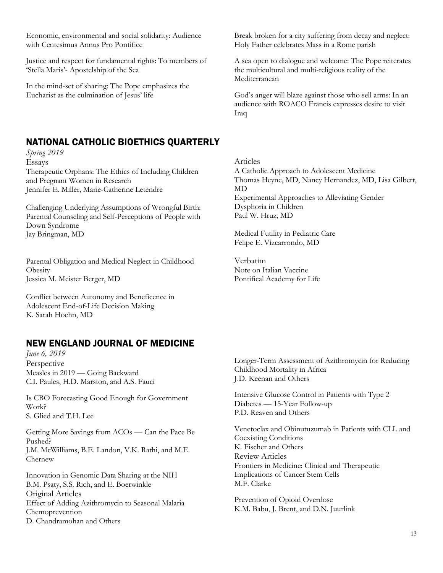Economic, environmental and social solidarity: Audience with Centesimus Annus Pro Pontifice

Justice and respect for fundamental rights: To members of 'Stella Maris'- Apostelship of the Sea

In the mind-set of sharing: The Pope emphasizes the Eucharist as the culmination of Jesus' life

## NATIONAL CATHOLIC BIOETHICS QUARTERLY

*Spring 2019* Essays Therapeutic Orphans: The Ethics of Including Children and Pregnant Women in Research Jennifer E. Miller, Marie-Catherine Letendre

Challenging Underlying Assumptions of Wrongful Birth: Parental Counseling and Self-Perceptions of People with Down Syndrome Jay Bringman, MD

Parental Obligation and Medical Neglect in Childhood **Obesity** Jessica M. Meister Berger, MD

Conflict between Autonomy and Beneficence in Adolescent End-of-Life Decision Making K. Sarah Hoehn, MD

## NEW ENGLAND JOURNAL OF MEDICINE

*June 6, 2019* Perspective Measles in 2019 — Going Backward C.I. Paules, H.D. Marston, and A.S. Fauci

Is CBO Forecasting Good Enough for Government Work? S. Glied and T.H. Lee

Getting More Savings from ACOs — Can the Pace Be Pushed? J.M. McWilliams, B.E. Landon, V.K. Rathi, and M.E. Chernew

Innovation in Genomic Data Sharing at the NIH B.M. Psaty, S.S. Rich, and E. Boerwinkle Original Articles Effect of Adding Azithromycin to Seasonal Malaria Chemoprevention D. Chandramohan and Others

Break broken for a city suffering from decay and neglect: Holy Father celebrates Mass in a Rome parish

A sea open to dialogue and welcome: The Pope reiterates the multicultural and multi-religious reality of the Mediterranean

God's anger will blaze against those who sell arms: In an audience with ROACO Francis expresses desire to visit Iraq

Articles A Catholic Approach to Adolescent Medicine Thomas Heyne, MD, Nancy Hernandez, MD, Lisa Gilbert, MD Experimental Approaches to Alleviating Gender Dysphoria in Children Paul W. Hruz, MD

Medical Futility in Pediatric Care Felipe E. Vizcarrondo, MD

Verbatim Note on Italian Vaccine Pontifical Academy for Life

Longer-Term Assessment of Azithromycin for Reducing Childhood Mortality in Africa J.D. Keenan and Others

Intensive Glucose Control in Patients with Type 2 Diabetes — 15-Year Follow-up P.D. Reaven and Others

Venetoclax and Obinutuzumab in Patients with CLL and Coexisting Conditions K. Fischer and Others Review Articles Frontiers in Medicine: Clinical and Therapeutic Implications of Cancer Stem Cells M.F. Clarke

Prevention of Opioid Overdose K.M. Babu, J. Brent, and D.N. Juurlink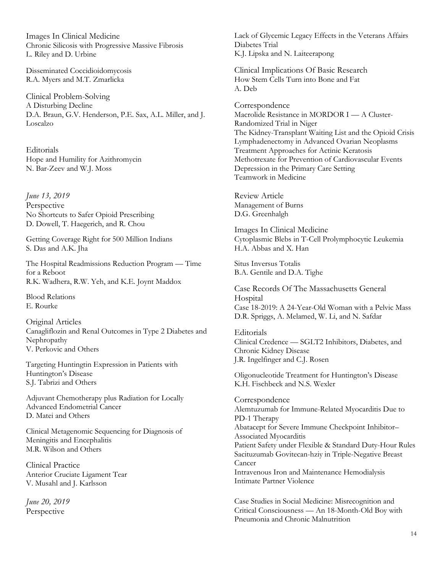Images In Clinical Medicine Chronic Silicosis with Progressive Massive Fibrosis L. Riley and D. Urbine

Disseminated Coccidioidomycosis R.A. Myers and M.T. Zmarlicka

Clinical Problem-Solving A Disturbing Decline D.A. Braun, G.V. Henderson, P.E. Sax, A.L. Miller, and J. Loscalzo

**Editorials** Hope and Humility for Azithromycin N. Bar-Zeev and W.J. Moss

*June 13, 2019* Perspective No Shortcuts to Safer Opioid Prescribing D. Dowell, T. Haegerich, and R. Chou

Getting Coverage Right for 500 Million Indians S. Das and A.K. Jha

The Hospital Readmissions Reduction Program — Time for a Reboot R.K. Wadhera, R.W. Yeh, and K.E. Joynt Maddox

Blood Relations E. Rourke

Original Articles Canagliflozin and Renal Outcomes in Type 2 Diabetes and Nephropathy V. Perkovic and Others

Targeting Huntingtin Expression in Patients with Huntington's Disease S.J. Tabrizi and Others

Adjuvant Chemotherapy plus Radiation for Locally Advanced Endometrial Cancer D. Matei and Others

Clinical Metagenomic Sequencing for Diagnosis of Meningitis and Encephalitis M.R. Wilson and Others

Clinical Practice Anterior Cruciate Ligament Tear V. Musahl and J. Karlsson

*June 20, 2019* Perspective

Lack of Glycemic Legacy Effects in the Veterans Affairs Diabetes Trial K.J. Lipska and N. Laiteerapong

Clinical Implications Of Basic Research How Stem Cells Turn into Bone and Fat A. Deb

Correspondence Macrolide Resistance in MORDOR I — A Cluster-Randomized Trial in Niger The Kidney-Transplant Waiting List and the Opioid Crisis Lymphadenectomy in Advanced Ovarian Neoplasms Treatment Approaches for Actinic Keratosis Methotrexate for Prevention of Cardiovascular Events Depression in the Primary Care Setting Teamwork in Medicine

Review Article Management of Burns D.G. Greenhalgh

Images In Clinical Medicine Cytoplasmic Blebs in T-Cell Prolymphocytic Leukemia H.A. Abbas and X. Han

Situs Inversus Totalis B.A. Gentile and D.A. Tighe

Case Records Of The Massachusetts General **Hospital** Case 18-2019: A 24-Year-Old Woman with a Pelvic Mass D.R. Spriggs, A. Melamed, W. Li, and N. Safdar

Editorials Clinical Credence — SGLT2 Inhibitors, Diabetes, and Chronic Kidney Disease J.R. Ingelfinger and C.J. Rosen

Oligonucleotide Treatment for Huntington's Disease K.H. Fischbeck and N.S. Wexler

Correspondence Alemtuzumab for Immune-Related Myocarditis Due to PD-1 Therapy Abatacept for Severe Immune Checkpoint Inhibitor– Associated Myocarditis Patient Safety under Flexible & Standard Duty-Hour Rules Sacituzumab Govitecan-hziy in Triple-Negative Breast Cancer Intravenous Iron and Maintenance Hemodialysis Intimate Partner Violence

Case Studies in Social Medicine: Misrecognition and Critical Consciousness — An 18-Month-Old Boy with Pneumonia and Chronic Malnutrition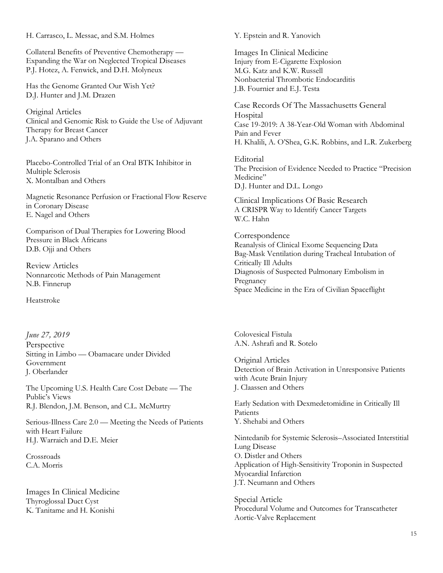H. Carrasco, L. Messac, and S.M. Holmes

Collateral Benefits of Preventive Chemotherapy — Expanding the War on Neglected Tropical Diseases P.J. Hotez, A. Fenwick, and D.H. Molyneux

Has the Genome Granted Our Wish Yet? D.J. Hunter and J.M. Drazen

Original Articles Clinical and Genomic Risk to Guide the Use of Adjuvant Therapy for Breast Cancer J.A. Sparano and Others

Placebo-Controlled Trial of an Oral BTK Inhibitor in Multiple Sclerosis X. Montalban and Others

Magnetic Resonance Perfusion or Fractional Flow Reserve in Coronary Disease E. Nagel and Others

Comparison of Dual Therapies for Lowering Blood Pressure in Black Africans D.B. Ojji and Others

Review Articles Nonnarcotic Methods of Pain Management N.B. Finnerup

Heatstroke

*June 27, 2019* Perspective Sitting in Limbo — Obamacare under Divided Government J. Oberlander

The Upcoming U.S. Health Care Cost Debate — The Public's Views R.J. Blendon, J.M. Benson, and C.L. McMurtry

Serious-Illness Care 2.0 — Meeting the Needs of Patients with Heart Failure H.J. Warraich and D.E. Meier

Crossroads C.A. Morris

Images In Clinical Medicine Thyroglossal Duct Cyst K. Tanitame and H. Konishi

Y. Epstein and R. Yanovich

Images In Clinical Medicine Injury from E-Cigarette Explosion M.G. Katz and K.W. Russell Nonbacterial Thrombotic Endocarditis J.B. Fournier and E.J. Testa

Case Records Of The Massachusetts General Hospital Case 19-2019: A 38-Year-Old Woman with Abdominal Pain and Fever H. Khalili, A. O'Shea, G.K. Robbins, and L.R. Zukerberg

Editorial The Precision of Evidence Needed to Practice "Precision Medicine" D.J. Hunter and D.L. Longo

Clinical Implications Of Basic Research A CRISPR Way to Identify Cancer Targets W.C. Hahn

Correspondence Reanalysis of Clinical Exome Sequencing Data Bag-Mask Ventilation during Tracheal Intubation of Critically Ill Adults Diagnosis of Suspected Pulmonary Embolism in Pregnancy Space Medicine in the Era of Civilian Spaceflight

Colovesical Fistula A.N. Ashrafi and R. Sotelo

Original Articles Detection of Brain Activation in Unresponsive Patients with Acute Brain Injury J. Claassen and Others

Early Sedation with Dexmedetomidine in Critically Ill Patients Y. Shehabi and Others

Nintedanib for Systemic Sclerosis–Associated Interstitial Lung Disease O. Distler and Others Application of High-Sensitivity Troponin in Suspected Myocardial Infarction J.T. Neumann and Others

Special Article Procedural Volume and Outcomes for Transcatheter Aortic-Valve Replacement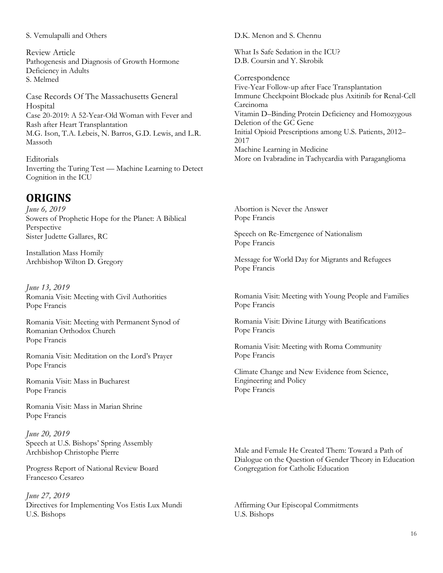#### S. Vemulapalli and Others

Review Article Pathogenesis and Diagnosis of Growth Hormone Deficiency in Adults S. Melmed

Case Records Of The Massachusetts General Hospital Case 20-2019: A 52-Year-Old Woman with Fever and Rash after Heart Transplantation M.G. Ison, T.A. Lebeis, N. Barros, G.D. Lewis, and L.R. Massoth

**Editorials** Inverting the Turing Test — Machine Learning to Detect Cognition in the ICU

# **ORIGINS**

*June 6, 2019* Sowers of Prophetic Hope for the Planet: A Biblical Perspective Sister Judette Gallares, RC

Installation Mass Homily Archbishop Wilton D. Gregory

*June 13, 2019* Romania Visit: Meeting with Civil Authorities Pope Francis

Romania Visit: Meeting with Permanent Synod of Romanian Orthodox Church Pope Francis

Romania Visit: Meditation on the Lord's Prayer Pope Francis

Romania Visit: Mass in Bucharest Pope Francis

Romania Visit: Mass in Marian Shrine Pope Francis

*June 20, 2019* Speech at U.S. Bishops' Spring Assembly Archbishop Christophe Pierre

Progress Report of National Review Board Francesco Cesareo

*June 27, 2019* Directives for Implementing Vos Estis Lux Mundi U.S. Bishops

D.K. Menon and S. Chennu

What Is Safe Sedation in the ICU? D.B. Coursin and Y. Skrobik

Correspondence Five-Year Follow-up after Face Transplantation Immune Checkpoint Blockade plus Axitinib for Renal-Cell Carcinoma Vitamin D–Binding Protein Deficiency and Homozygous Deletion of the GC Gene Initial Opioid Prescriptions among U.S. Patients, 2012– 2017 Machine Learning in Medicine More on Ivabradine in Tachycardia with Paraganglioma

Abortion is Never the Answer Pope Francis

Speech on Re-Emergence of Nationalism Pope Francis

Message for World Day for Migrants and Refugees Pope Francis

Romania Visit: Meeting with Young People and Families Pope Francis

Romania Visit: Divine Liturgy with Beatifications Pope Francis

Romania Visit: Meeting with Roma Community Pope Francis

Climate Change and New Evidence from Science, Engineering and Policy Pope Francis

Male and Female He Created Them: Toward a Path of Dialogue on the Question of Gender Theory in Education Congregation for Catholic Education

Affirming Our Episcopal Commitments U.S. Bishops